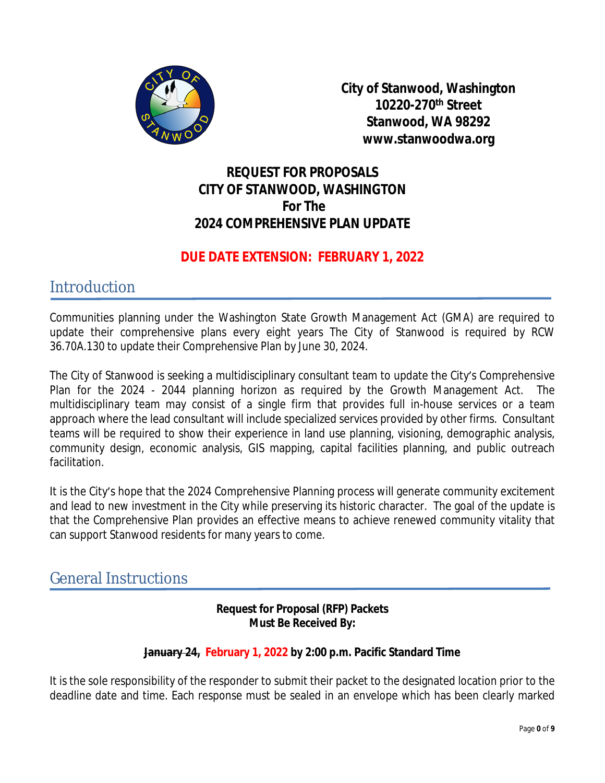

**City of Stanwood, Washington 10220-270th Street Stanwood, WA 98292 www.stanwoodwa.org**

### **REQUEST FOR PROPOSALS CITY OF STANWOOD, WASHINGTON For The 2024 COMPREHENSIVE PLAN UPDATE**

### **DUE DATE EXTENSION: FEBRUARY 1, 2022**

**Introduction** 

Communities planning under the Washington State Growth Management Act (GMA) are required to update their comprehensive plans every eight years The City of Stanwood is required by RCW 36.70A.130 to update their Comprehensive Plan by June 30, 2024.

The City of Stanwood is seeking a multidisciplinary consultant team to update the City's Comprehensive Plan for the 2024 - 2044 planning horizon as required by the Growth Management Act. The multidisciplinary team may consist of a single firm that provides full in-house services or a team approach where the lead consultant will include specialized services provided by other firms. Consultant teams will be required to show their experience in land use planning, visioning, demographic analysis, community design, economic analysis, GIS mapping, capital facilities planning, and public outreach facilitation.

It is the City's hope that the 2024 Comprehensive Planning process will generate community excitement and lead to new investment in the City while preserving its historic character. The goal of the update is that the Comprehensive Plan provides an effective means to achieve renewed community vitality that can support Stanwood residents for many years to come.

### General Instructions

### **Request for Proposal (RFP) Packets Must Be Received By:**

### **January 24, February 1, 2022 by 2:00 p.m. Pacific Standard Time**

It is the sole responsibility of the responder to submit their packet to the designated location prior to the deadline date and time. Each response must be sealed in an envelope which has been clearly marked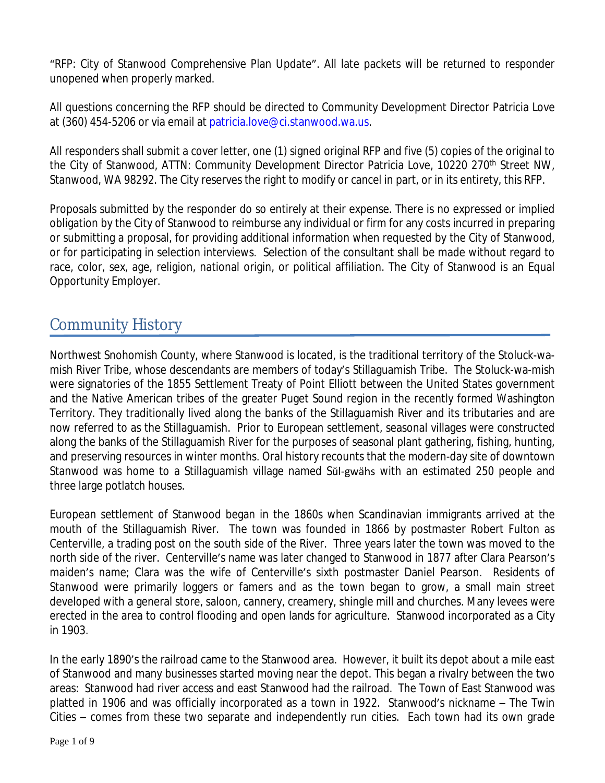"RFP: City of Stanwood Comprehensive Plan Update". All late packets will be returned to responder unopened when properly marked.

All questions concerning the RFP should be directed to Community Development Director Patricia Love at (360) 454-5206 or via email at patricia.love@ci.stanwood.wa.us.

All responders shall submit a cover letter, one (1) signed original RFP and five (5) copies of the original to the City of Stanwood, ATTN: Community Development Director Patricia Love, 10220 270<sup>th</sup> Street NW, Stanwood, WA 98292. The City reserves the right to modify or cancel in part, or in its entirety, this RFP.

Proposals submitted by the responder do so entirely at their expense. There is no expressed or implied obligation by the City of Stanwood to reimburse any individual or firm for any costs incurred in preparing or submitting a proposal, for providing additional information when requested by the City of Stanwood, or for participating in selection interviews. Selection of the consultant shall be made without regard to race, color, sex, age, religion, national origin, or political affiliation. The City of Stanwood is an Equal Opportunity Employer.

## Community History

Northwest Snohomish County, where Stanwood is located, is the traditional territory of the Stoluck-wamish River Tribe, whose descendants are members of today's Stillaguamish Tribe. The Stoluck-wa-mish were signatories of the 1855 Settlement Treaty of Point Elliott between the United States government and the Native American tribes of the greater Puget Sound region in the recently formed Washington Territory. They traditionally lived along the banks of the Stillaguamish River and its tributaries and are now referred to as the Stillaguamish. Prior to European settlement, seasonal villages were constructed along the banks of the Stillaguamish River for the purposes of seasonal plant gathering, fishing, hunting, and preserving resources in winter months. Oral history recounts that the modern-day site of downtown Stanwood was home to a [Stillaguamish](https://en.wikipedia.org/wiki/Stillaguamish_people) village named Sŭl-gwähs with an estimated 250 people and three large [potlatch](https://en.wikipedia.org/wiki/Potlatch) houses.

European settlement of Stanwood began in the 1860s when Scandinavian immigrants arrived at the mouth of the Stillaguamish River. The town was founded in 1866 by postmaster Robert Fulton as Centerville, a trading post on the south side of the River. Three years later the town was moved to the north side of the river. Centerville's name was later changed to Stanwood in 1877 after Clara Pearson's maiden's name; Clara was the wife of Centerville's sixth postmaster Daniel Pearson. Residents of Stanwood were primarily loggers or famers and as the town began to grow, a small main street developed with a general store, saloon, cannery, creamery, shingle mill and churches. Many levees were erected in the area to control flooding and open lands for agriculture. Stanwood [incorporated](https://en.wikipedia.org/wiki/Municipal_incorporation) as a City in 1903.

In the early 1890's the railroad came to the Stanwood area. However, it built its depot about a mile east of Stanwood and many businesses started moving near the depot. This began a rivalry between the two areas: Stanwood had river access and east Stanwood had the railroad. The Town of East Stanwood was platted in 1906 and was officially incorporated as a town in 1922. Stanwood's nickname – The Twin Cities – comes from these two separate and independently run cities. Each town had its own grade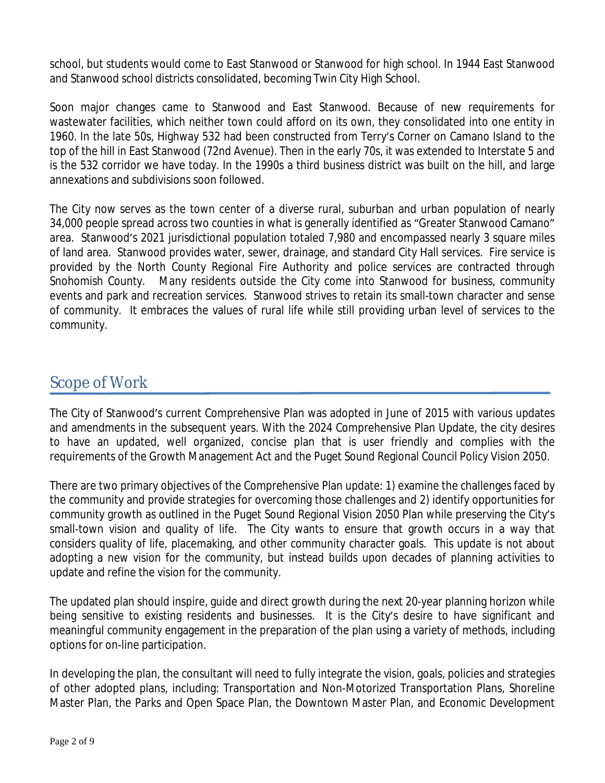school, but students would come to East Stanwood or Stanwood for high school. In 1944 East Stanwood and Stanwood school districts consolidated, becoming Twin City High School.

Soon major changes came to Stanwood and East Stanwood. Because of new requirements for wastewater facilities, which neither town could afford on its own, they consolidated into one entity in 1960. In the late 50s, Highway 532 had been constructed from Terry's Corner on Camano Island to the top of the hill in East Stanwood (72nd Avenue). Then in the early 70s, it was extended to Interstate 5 and is the 532 corridor we have today. In the 1990s a third business district was built on the hill, and large annexations and subdivisions soon followed.

The City now serves as the town center of a diverse rural, suburban and urban population of nearly 34,000 people spread across two counties in what is generally identified as "Greater Stanwood Camano" area. Stanwood's 2021 jurisdictional population totaled 7,980 and encompassed nearly 3 square miles of land area. Stanwood provides water, sewer, drainage, and standard City Hall services. Fire service is provided by the North County Regional Fire Authority and police services are contracted through Snohomish County. Many residents outside the City come into Stanwood for business, community events and park and recreation services. Stanwood strives to retain its small-town character and sense of community. It embraces the values of rural life while still providing urban level of services to the community.

# Scope of Work

The City of Stanwood's current Comprehensive Plan was adopted in June of 2015 with various updates and amendments in the subsequent years. With the 2024 Comprehensive Plan Update, the city desires to have an updated, well organized, concise plan that is user friendly and complies with the requirements of the Growth Management Act and the Puget Sound Regional Council Policy Vision 2050.

There are two primary objectives of the Comprehensive Plan update: 1) examine the challenges faced by the community and provide strategies for overcoming those challenges and 2) identify opportunities for community growth as outlined in the Puget Sound Regional Vision 2050 Plan while preserving the City's small-town vision and quality of life. The City wants to ensure that growth occurs in a way that considers quality of life, placemaking, and other community character goals. This update is not about adopting a new vision for the community, but instead builds upon decades of planning activities to update and refine the vision for the community.

The updated plan should inspire, guide and direct growth during the next 20-year planning horizon while being sensitive to existing residents and businesses. It is the City's desire to have significant and meaningful community engagement in the preparation of the plan using a variety of methods, including options for on-line participation.

In developing the plan, the consultant will need to fully integrate the vision, goals, policies and strategies of other adopted plans, including: Transportation and Non-Motorized Transportation Plans, Shoreline Master Plan, the Parks and Open Space Plan, the Downtown Master Plan, and Economic Development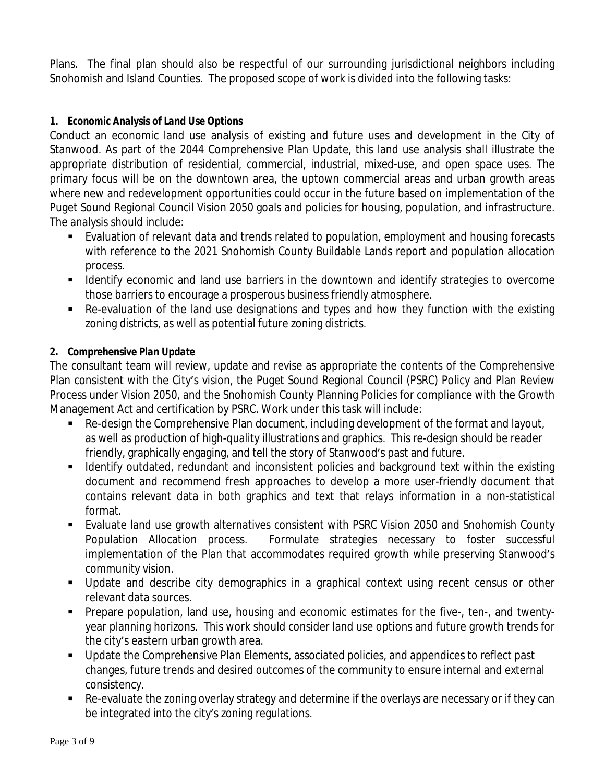Plans. The final plan should also be respectful of our surrounding jurisdictional neighbors including Snohomish and Island Counties. The proposed scope of work is divided into the following tasks:

#### *1. Economic Analysis of Land Use Options*

Conduct an economic land use analysis of existing and future uses and development in the City of Stanwood. As part of the 2044 Comprehensive Plan Update, this land use analysis shall illustrate the appropriate distribution of residential, commercial, industrial, mixed-use, and open space uses. The primary focus will be on the downtown area, the uptown commercial areas and urban growth areas where new and redevelopment opportunities could occur in the future based on implementation of the Puget Sound Regional Council Vision 2050 goals and policies for housing, population, and infrastructure. The analysis should include:

- Evaluation of relevant data and trends related to population, employment and housing forecasts with reference to the 2021 Snohomish County Buildable Lands report and population allocation process.
- I Identify economic and land use barriers in the downtown and identify strategies to overcome those barriers to encourage a prosperous business friendly atmosphere.
- Re-evaluation of the land use designations and types and how they function with the existing zoning districts, as well as potential future zoning districts.

#### *2. Comprehensive Plan Update*

The consultant team will review, update and revise as appropriate the contents of the Comprehensive Plan consistent with the City's vision, the Puget Sound Regional Council (PSRC) Policy and Plan Review Process under Vision 2050, and the Snohomish County Planning Policies for compliance with the Growth Management Act and certification by PSRC. Work under this task will include:

- Re-design the Comprehensive Plan document, including development of the format and layout, as well as production of high-quality illustrations and graphics. This re-design should be reader friendly, graphically engaging, and tell the story of Stanwood's past and future.
- **If all identify outdated, redundant and inconsistent policies and background text within the existing** document and recommend fresh approaches to develop a more user-friendly document that contains relevant data in both graphics and text that relays information in a non-statistical format.
- Evaluate land use growth alternatives consistent with PSRC Vision 2050 and Snohomish County Population Allocation process. Formulate strategies necessary to foster successful implementation of the Plan that accommodates required growth while preserving Stanwood's community vision.
- Update and describe city demographics in a graphical context using recent census or other relevant data sources.
- Prepare population, land use, housing and economic estimates for the five-, ten-, and twentyyear planning horizons. This work should consider land use options and future growth trends for the city's eastern urban growth area.
- Update the Comprehensive Plan Elements, associated policies, and appendices to reflect past changes, future trends and desired outcomes of the community to ensure internal and external consistency.
- Re-evaluate the zoning overlay strategy and determine if the overlays are necessary or if they can be integrated into the city's zoning regulations.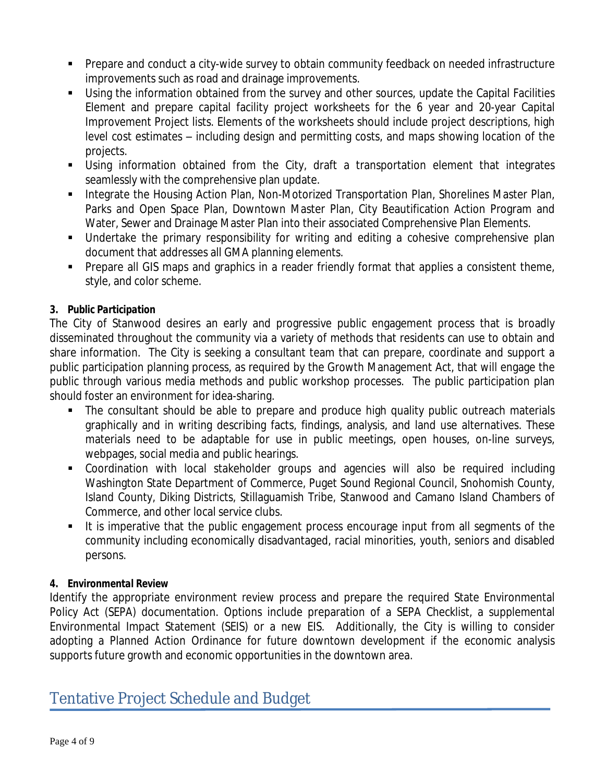- Prepare and conduct a city-wide survey to obtain community feedback on needed infrastructure improvements such as road and drainage improvements.
- Using the information obtained from the survey and other sources, update the Capital Facilities Element and prepare capital facility project worksheets for the 6 year and 20-year Capital Improvement Project lists. Elements of the worksheets should include project descriptions, high level cost estimates – including design and permitting costs, and maps showing location of the projects.
- Using information obtained from the City, draft a transportation element that integrates seamlessly with the comprehensive plan update.
- **Integrate the Housing Action Plan, Non-Motorized Transportation Plan, Shorelines Master Plan,** Parks and Open Space Plan, Downtown Master Plan, City Beautification Action Program and Water, Sewer and Drainage Master Plan into their associated Comprehensive Plan Elements.
- Undertake the primary responsibility for writing and editing a cohesive comprehensive plan document that addresses all GMA planning elements.
- **Prepare all GIS maps and graphics in a reader friendly format that applies a consistent theme,** style, and color scheme.

### *3. Public Participation*

The City of Stanwood desires an early and progressive public engagement process that is broadly disseminated throughout the community via a variety of methods that residents can use to obtain and share information. The City is seeking a consultant team that can prepare, coordinate and support a public participation planning process, as required by the Growth Management Act, that will engage the public through various media methods and public workshop processes. The public participation plan should foster an environment for idea-sharing.

- The consultant should be able to prepare and produce high quality public outreach materials graphically and in writing describing facts, findings, analysis, and land use alternatives. These materials need to be adaptable for use in public meetings, open houses, on-line surveys, webpages, social media and public hearings.
- Coordination with local stakeholder groups and agencies will also be required including Washington State Department of Commerce, Puget Sound Regional Council, Snohomish County, Island County, Diking Districts, Stillaguamish Tribe, Stanwood and Camano Island Chambers of Commerce, and other local service clubs.
- It is imperative that the public engagement process encourage input from all segments of the community including economically disadvantaged, racial minorities, youth, seniors and disabled persons.

### *4. Environmental Review*

Identify the appropriate environment review process and prepare the required State Environmental Policy Act (SEPA) documentation. Options include preparation of a SEPA Checklist, a supplemental Environmental Impact Statement (SEIS) or a new EIS. Additionally, the City is willing to consider adopting a Planned Action Ordinance for future downtown development if the economic analysis supports future growth and economic opportunities in the downtown area.

## Tentative Project Schedule and Budget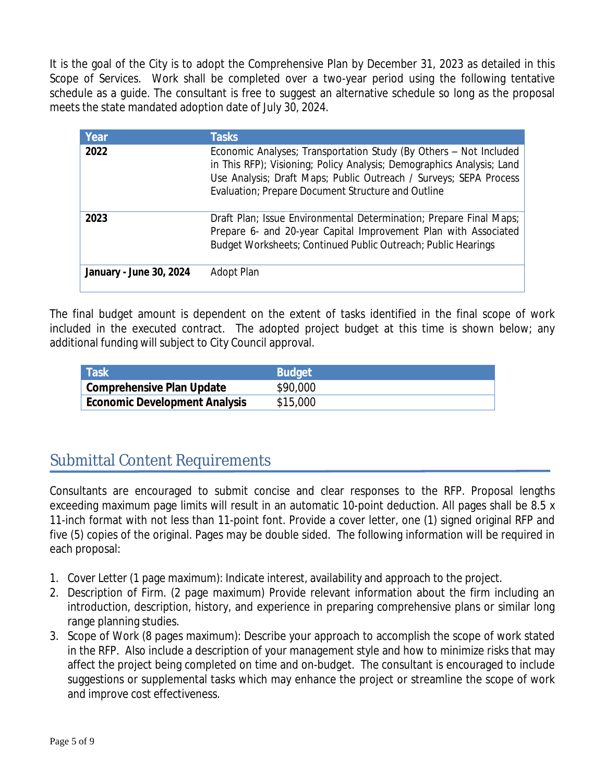It is the goal of the City is to adopt the Comprehensive Plan by December 31, 2023 as detailed in this Scope of Services. Work shall be completed over a two-year period using the following tentative schedule as a guide. The consultant is free to suggest an alternative schedule so long as the proposal meets the state mandated adoption date of July 30, 2024.

| Year                    | <b>Tasks</b>                                                                                                                                                                                                                                                          |
|-------------------------|-----------------------------------------------------------------------------------------------------------------------------------------------------------------------------------------------------------------------------------------------------------------------|
| 2022                    | Economic Analyses; Transportation Study (By Others - Not Included<br>in This RFP); Visioning; Policy Analysis; Demographics Analysis; Land<br>Use Analysis; Draft Maps; Public Outreach / Surveys; SEPA Process<br>Evaluation; Prepare Document Structure and Outline |
| 2023                    | Draft Plan; Issue Environmental Determination; Prepare Final Maps;<br>Prepare 6- and 20-year Capital Improvement Plan with Associated<br>Budget Worksheets; Continued Public Outreach; Public Hearings                                                                |
| January - June 30, 2024 | Adopt Plan                                                                                                                                                                                                                                                            |

The final budget amount is dependent on the extent of tasks identified in the final scope of work included in the executed contract. The adopted project budget at this time is shown below; any additional funding will subject to City Council approval.

| <b>Task</b>                          | <b>Budget</b> |
|--------------------------------------|---------------|
| <b>Comprehensive Plan Update</b>     | \$90,000      |
| <b>Economic Development Analysis</b> | \$15,000      |

## Submittal Content Requirements

Consultants are encouraged to submit concise and clear responses to the RFP. Proposal lengths exceeding maximum page limits will result in an automatic 10-point deduction. All pages shall be 8.5 x 11-inch format with not less than 11-point font. Provide a cover letter, one (1) signed original RFP and five (5) copies of the original. Pages may be double sided. The following information will be required in each proposal:

- 1. Cover Letter (1 page maximum): Indicate interest, availability and approach to the project.
- 2. Description of Firm. (2 page maximum) Provide relevant information about the firm including an introduction, description, history, and experience in preparing comprehensive plans or similar long range planning studies.
- 3. Scope of Work (8 pages maximum): Describe your approach to accomplish the scope of work stated in the RFP. Also include a description of your management style and how to minimize risks that may affect the project being completed on time and on-budget. The consultant is encouraged to include suggestions or supplemental tasks which may enhance the project or streamline the scope of work and improve cost effectiveness.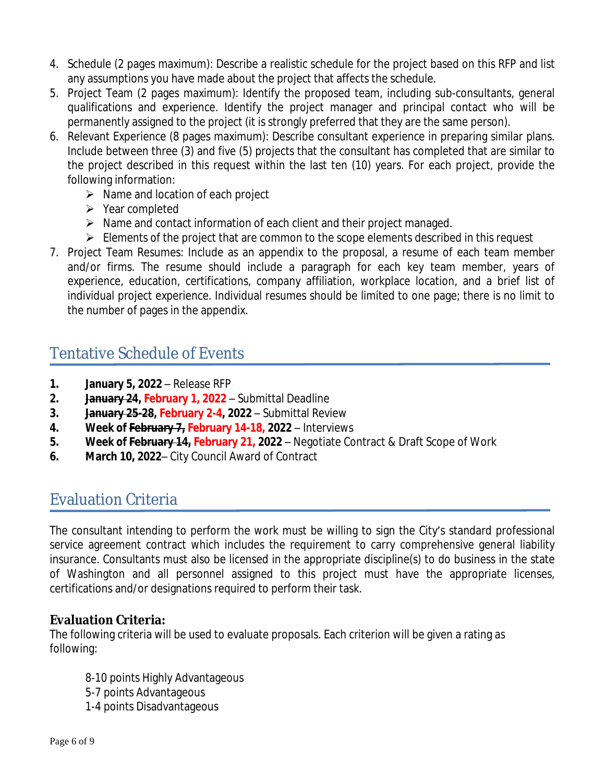- 4. Schedule (2 pages maximum): Describe a realistic schedule for the project based on this RFP and list any assumptions you have made about the project that affects the schedule.
- 5. Project Team (2 pages maximum): Identify the proposed team, including sub-consultants, general qualifications and experience. Identify the project manager and principal contact who will be permanently assigned to the project (it is strongly preferred that they are the same person).
- 6. Relevant Experience (8 pages maximum): Describe consultant experience in preparing similar plans. Include between three (3) and five (5) projects that the consultant has completed that are similar to the project described in this request within the last ten (10) years. For each project, provide the following information:
	- $\triangleright$  Name and location of each project
	- $\triangleright$  Year completed
	- $\triangleright$  Name and contact information of each client and their project managed.
	- $\triangleright$  Elements of the project that are common to the scope elements described in this request
- 7. Project Team Resumes: Include as an appendix to the proposal, a resume of each team member and/or firms. The resume should include a paragraph for each key team member, years of experience, education, certifications, company affiliation, workplace location, and a brief list of individual project experience. Individual resumes should be limited to one page; there is no limit to the number of pages in the appendix.

# Tentative Schedule of Events

- **1. January 5, 2022** Release RFP
- **2. January 24, February 1, 2022** Submittal Deadline
- **3. January 25-28, February 2-4, 2022**  Submittal Review
- **4. Week of February 7, February 14-18, 2022** Interviews
- **5. Week of February 14, February 21, 2022** Negotiate Contract & Draft Scope of Work
- **6. March 10, 2022** City Council Award of Contract

## Evaluation Criteria

The consultant intending to perform the work must be willing to sign the City's standard professional service agreement contract which includes the requirement to carry comprehensive general liability insurance. Consultants must also be licensed in the appropriate discipline(s) to do business in the state of Washington and all personnel assigned to this project must have the appropriate licenses, certifications and/or designations required to perform their task.

### **Evaluation Criteria:**

The following criteria will be used to evaluate proposals. Each criterion will be given a rating as following:

- 8-10 points Highly Advantageous
- 5-7 points Advantageous
- 1-4 points Disadvantageous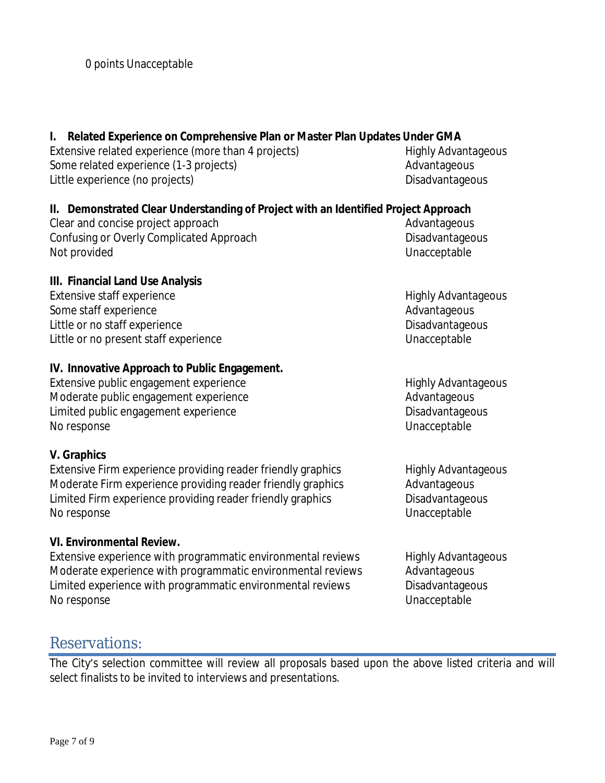### **I. Related Experience on Comprehensive Plan or Master Plan Updates Under GMA**

Extensive related experience (more than 4 projects) Highly Advantageous Some related experience (1-3 projects) and a series and advantageous Advantageous Little experience (no projects) and the control of the Disadvantageous control of the Disadvantageous

### **II. Demonstrated Clear Understanding of Project with an Identified Project Approach**

Clear and concise project approach and concise project approach and concise project approach and concise and concise  $\mathbb{R}^n$ Confusing or Overly Complicated Approach Disadvantageous Disadvantageous Not provided Unacceptable

#### **III. Financial Land Use Analysis**

Extensive staff experience **Extensive Staff experience** Highly Advantageous Some staff experience Advantageous Advantageous Little or no staff experience disagreement of the Disadvantageous control of the Disadvantageous Little or no present staff experience Unacceptable

#### **IV. Innovative Approach to Public Engagement.**

Extensive public engagement experience Highly Advantageous Highly Advantageous Moderate public engagement experience Moderate Advantageous Limited public engagement experience Disadvantageous Disadvantageous No response Unacceptable

### **V. Graphics**

Extensive Firm experience providing reader friendly graphics Highly Advantageous Moderate Firm experience providing reader friendly graphics Advantageous Limited Firm experience providing reader friendly graphics Disadvantageous No response Unacceptable

### **VI. Environmental Review.**

Extensive experience with programmatic environmental reviews Highly Advantageous Moderate experience with programmatic environmental reviews Advantageous Limited experience with programmatic environmental reviews Disadvantageous No response Unacceptable

### Reservations:

The City's selection committee will review all proposals based upon the above listed criteria and will select finalists to be invited to interviews and presentations.